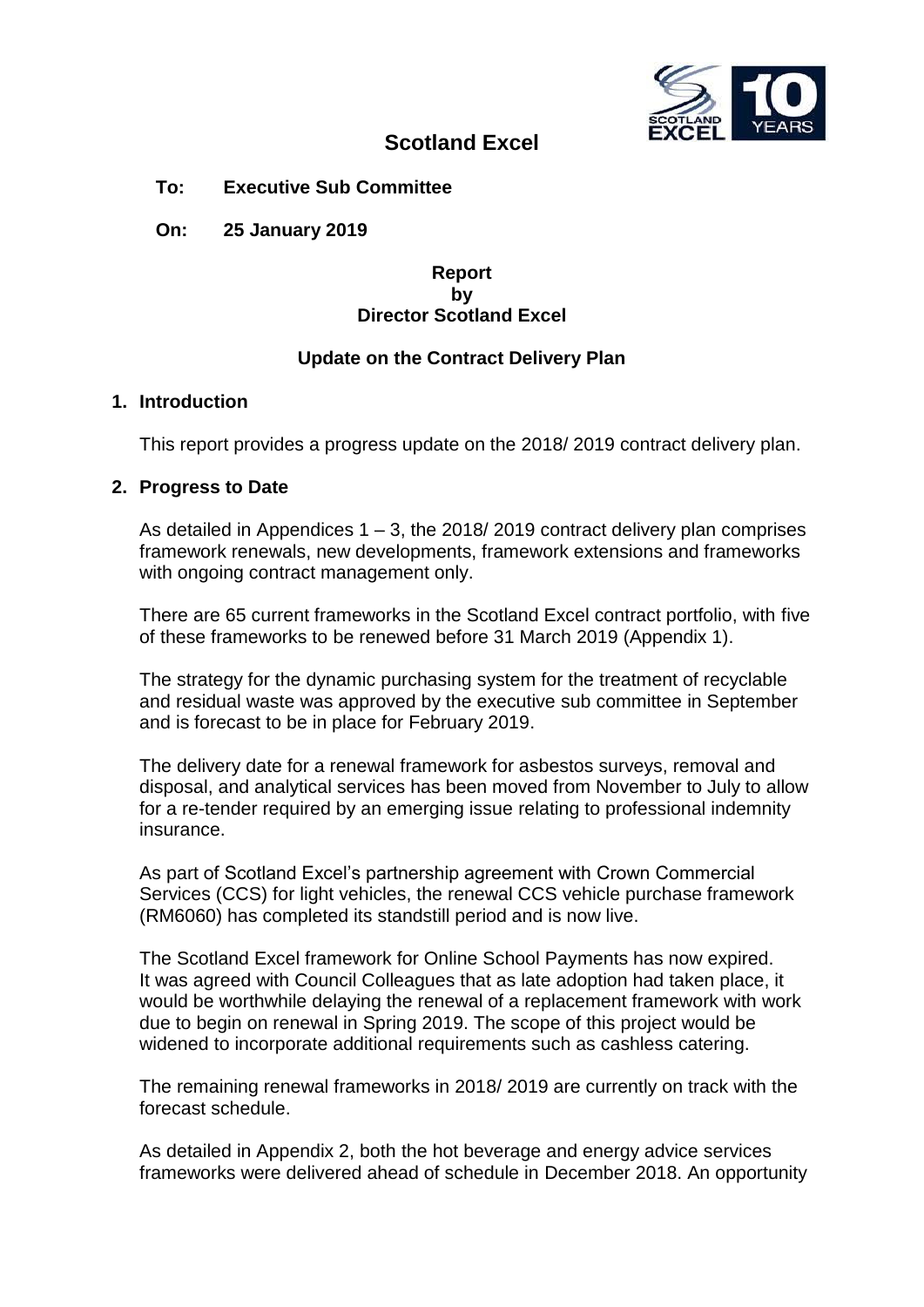

# **Scotland Excel**

**To: Executive Sub Committee**

**On: 25 January 2019**

#### **Report by Director Scotland Excel**

### **Update on the Contract Delivery Plan**

#### **1. Introduction**

This report provides a progress update on the 2018/ 2019 contract delivery plan.

#### **2. Progress to Date**

As detailed in Appendices 1 – 3, the 2018/ 2019 contract delivery plan comprises framework renewals, new developments, framework extensions and frameworks with ongoing contract management only.

There are 65 current frameworks in the Scotland Excel contract portfolio, with five of these frameworks to be renewed before 31 March 2019 (Appendix 1).

The strategy for the dynamic purchasing system for the treatment of recyclable and residual waste was approved by the executive sub committee in September and is forecast to be in place for February 2019.

The delivery date for a renewal framework for asbestos surveys, removal and disposal, and analytical services has been moved from November to July to allow for a re-tender required by an emerging issue relating to professional indemnity insurance.

As part of Scotland Excel's partnership agreement with Crown Commercial Services (CCS) for light vehicles, the renewal CCS vehicle purchase framework (RM6060) has completed its standstill period and is now live.

The Scotland Excel framework for Online School Payments has now expired. It was agreed with Council Colleagues that as late adoption had taken place, it would be worthwhile delaying the renewal of a replacement framework with work due to begin on renewal in Spring 2019. The scope of this project would be widened to incorporate additional requirements such as cashless catering.

The remaining renewal frameworks in 2018/ 2019 are currently on track with the forecast schedule.

As detailed in Appendix 2, both the hot beverage and energy advice services frameworks were delivered ahead of schedule in December 2018. An opportunity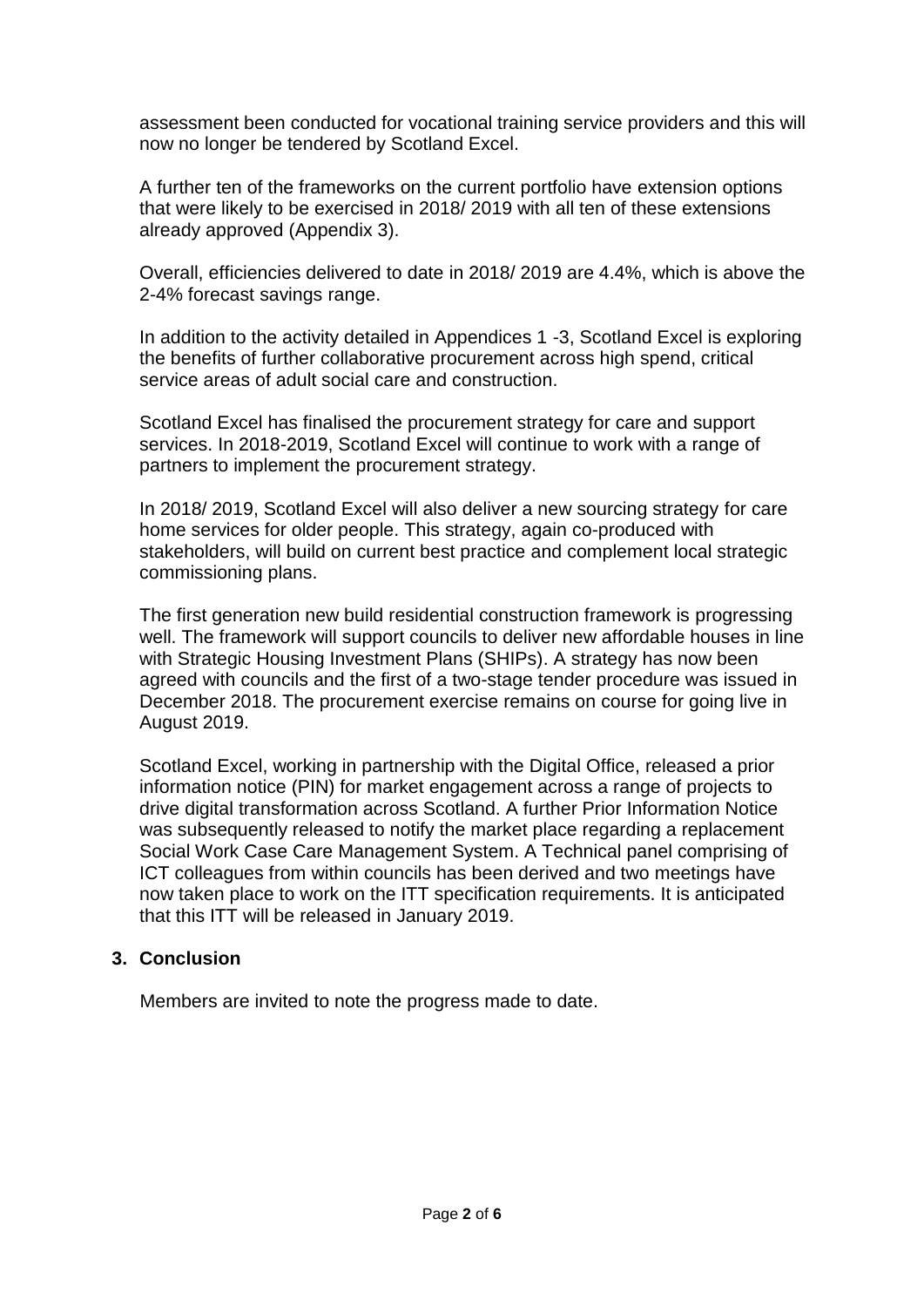assessment been conducted for vocational training service providers and this will now no longer be tendered by Scotland Excel.

A further ten of the frameworks on the current portfolio have extension options that were likely to be exercised in 2018/ 2019 with all ten of these extensions already approved (Appendix 3).

Overall, efficiencies delivered to date in 2018/ 2019 are 4.4%, which is above the 2-4% forecast savings range.

In addition to the activity detailed in Appendices 1 -3, Scotland Excel is exploring the benefits of further collaborative procurement across high spend, critical service areas of adult social care and construction.

Scotland Excel has finalised the procurement strategy for care and support services. In 2018-2019, Scotland Excel will continue to work with a range of partners to implement the procurement strategy.

In 2018/ 2019, Scotland Excel will also deliver a new sourcing strategy for care home services for older people. This strategy, again co-produced with stakeholders, will build on current best practice and complement local strategic commissioning plans.

The first generation new build residential construction framework is progressing well. The framework will support councils to deliver new affordable houses in line with Strategic Housing Investment Plans (SHIPs). A strategy has now been agreed with councils and the first of a two-stage tender procedure was issued in December 2018. The procurement exercise remains on course for going live in August 2019.

Scotland Excel, working in partnership with the Digital Office, released a prior information notice (PIN) for market engagement across a range of projects to drive digital transformation across Scotland. A further Prior Information Notice was subsequently released to notify the market place regarding a replacement Social Work Case Care Management System. A Technical panel comprising of ICT colleagues from within councils has been derived and two meetings have now taken place to work on the ITT specification requirements. It is anticipated that this ITT will be released in January 2019.

### **3. Conclusion**

Members are invited to note the progress made to date.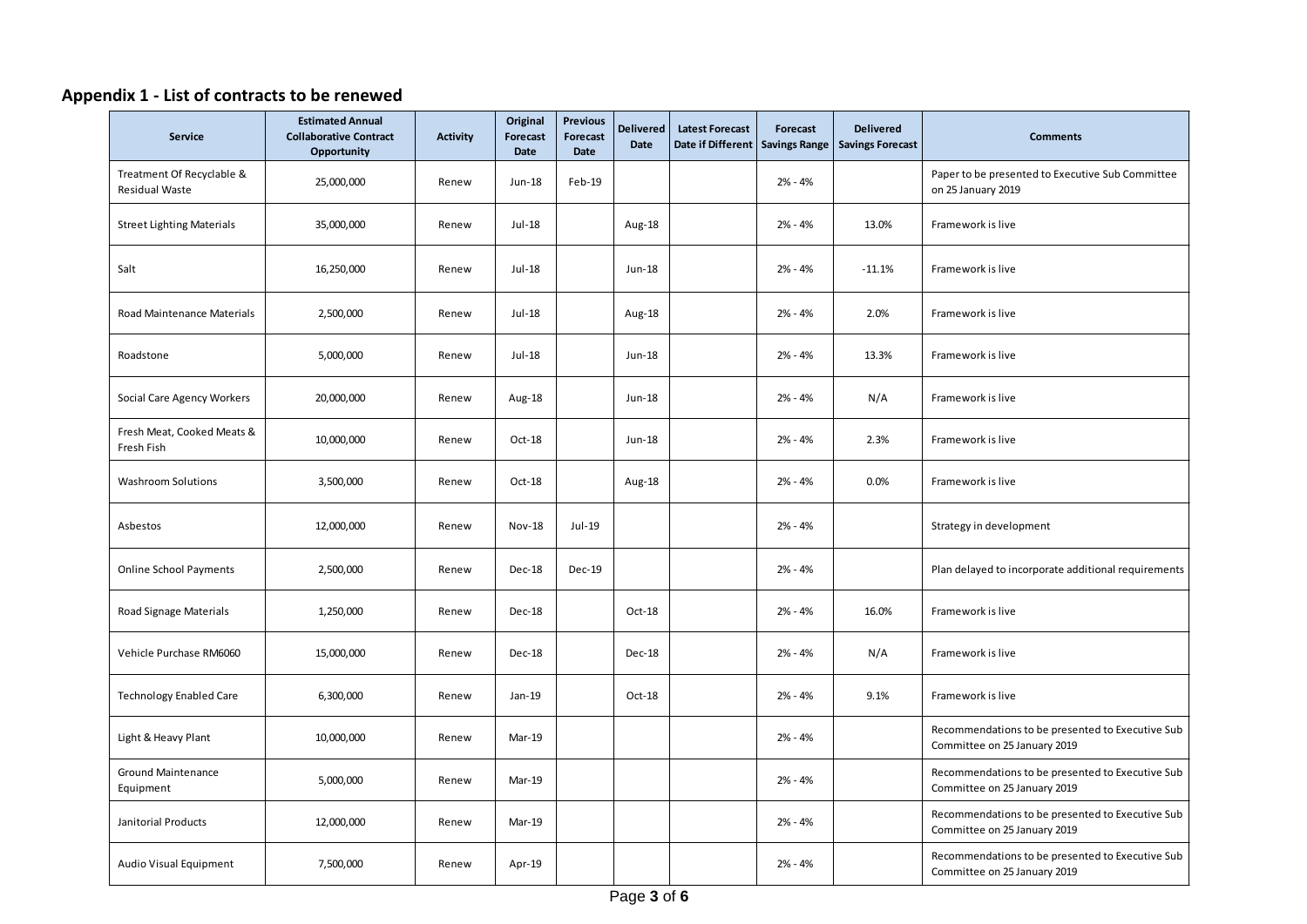## **Appendix 1 - List of contracts to be renewed**

| Service                                            | <b>Estimated Annual</b><br><b>Collaborative Contract</b><br>Opportunity | <b>Activity</b> | Original<br><b>Forecast</b><br><b>Date</b> | <b>Previous</b><br>Forecast<br><b>Date</b> | <b>Delivered</b><br>Date | <b>Latest Forecast</b><br>Date if Different Savings Range | <b>Forecast</b> | <b>Delivered</b><br><b>Savings Forecast</b> | <b>Comments</b>                                                                  |
|----------------------------------------------------|-------------------------------------------------------------------------|-----------------|--------------------------------------------|--------------------------------------------|--------------------------|-----------------------------------------------------------|-----------------|---------------------------------------------|----------------------------------------------------------------------------------|
| Treatment Of Recyclable &<br><b>Residual Waste</b> | 25,000,000                                                              | Renew           | Jun-18                                     | Feb-19                                     |                          |                                                           | $2% - 4%$       |                                             | Paper to be presented to Executive Sub Committee<br>on 25 January 2019           |
| <b>Street Lighting Materials</b>                   | 35,000,000                                                              | Renew           | Jul-18                                     |                                            | Aug-18                   |                                                           | $2% - 4%$       | 13.0%                                       | Framework is live                                                                |
| Salt                                               | 16,250,000                                                              | Renew           | Jul-18                                     |                                            | $Jun-18$                 |                                                           | $2% - 4%$       | $-11.1%$                                    | Framework is live                                                                |
| Road Maintenance Materials                         | 2,500,000                                                               | Renew           | Jul-18                                     |                                            | Aug-18                   |                                                           | $2% - 4%$       | 2.0%                                        | Framework is live                                                                |
| Roadstone                                          | 5,000,000                                                               | Renew           | Jul-18                                     |                                            | Jun-18                   |                                                           | $2% - 4%$       | 13.3%                                       | Framework is live                                                                |
| Social Care Agency Workers                         | 20,000,000                                                              | Renew           | Aug-18                                     |                                            | Jun-18                   |                                                           | $2% - 4%$       | N/A                                         | Framework is live                                                                |
| Fresh Meat, Cooked Meats &<br>Fresh Fish           | 10,000,000                                                              | Renew           | $Oct-18$                                   |                                            | Jun-18                   |                                                           | $2% - 4%$       | 2.3%                                        | Framework is live                                                                |
| <b>Washroom Solutions</b>                          | 3,500,000                                                               | Renew           | Oct-18                                     |                                            | Aug-18                   |                                                           | $2% - 4%$       | 0.0%                                        | Framework is live                                                                |
| Asbestos                                           | 12,000,000                                                              | Renew           | <b>Nov-18</b>                              | Jul-19                                     |                          |                                                           | $2% - 4%$       |                                             | Strategy in development                                                          |
| <b>Online School Payments</b>                      | 2,500,000                                                               | Renew           | <b>Dec-18</b>                              | Dec-19                                     |                          |                                                           | $2% - 4%$       |                                             | Plan delayed to incorporate additional requirements                              |
| Road Signage Materials                             | 1,250,000                                                               | Renew           | Dec-18                                     |                                            | Oct-18                   |                                                           | $2% - 4%$       | 16.0%                                       | Framework is live                                                                |
| Vehicle Purchase RM6060                            | 15,000,000                                                              | Renew           | Dec-18                                     |                                            | Dec-18                   |                                                           | $2% - 4%$       | N/A                                         | Framework is live                                                                |
| <b>Technology Enabled Care</b>                     | 6,300,000                                                               | Renew           | Jan-19                                     |                                            | Oct-18                   |                                                           | $2% - 4%$       | 9.1%                                        | Framework is live                                                                |
| Light & Heavy Plant                                | 10,000,000                                                              | Renew           | Mar-19                                     |                                            |                          |                                                           | $2% - 4%$       |                                             | Recommendations to be presented to Executive Sub<br>Committee on 25 January 2019 |
| <b>Ground Maintenance</b><br>Equipment             | 5,000,000                                                               | Renew           | Mar-19                                     |                                            |                          |                                                           | $2% - 4%$       |                                             | Recommendations to be presented to Executive Sub<br>Committee on 25 January 2019 |
| Janitorial Products                                | 12,000,000                                                              | Renew           | Mar-19                                     |                                            |                          |                                                           | $2% - 4%$       |                                             | Recommendations to be presented to Executive Sub<br>Committee on 25 January 2019 |
| Audio Visual Equipment                             | 7,500,000                                                               | Renew           | Apr-19                                     |                                            |                          |                                                           | $2% - 4%$       |                                             | Recommendations to be presented to Executive Sub<br>Committee on 25 January 2019 |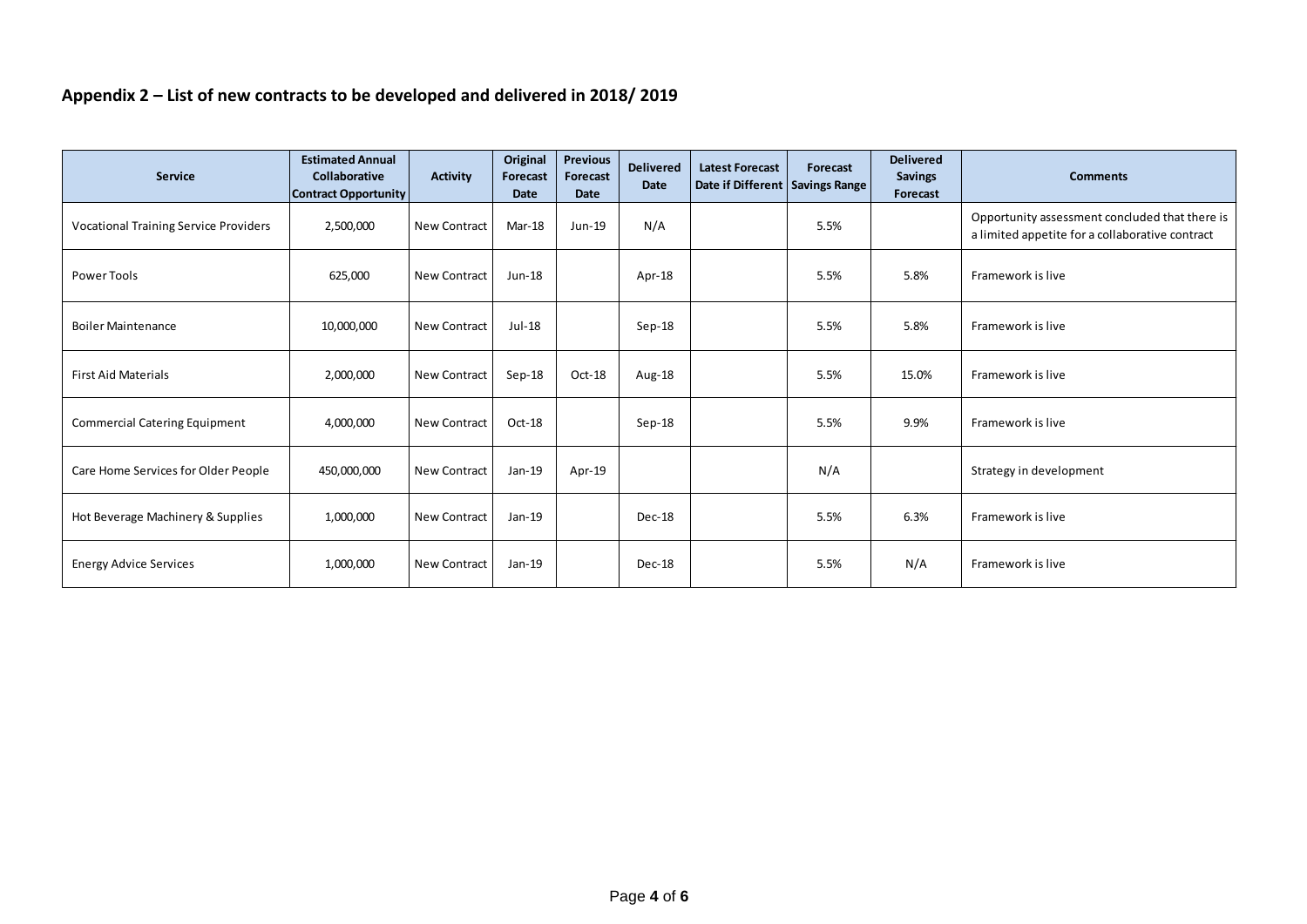## **Appendix 2 – List of new contracts to be developed and delivered in 2018/ 2019**

| <b>Service</b>                               | <b>Estimated Annual</b><br><b>Collaborative</b><br><b>Contract Opportunity</b> | <b>Activity</b>     | Original<br><b>Forecast</b><br><b>Date</b> | <b>Previous</b><br>Forecast<br><b>Date</b> | <b>Delivered</b><br><b>Date</b> | <b>Latest Forecast</b><br>Date if Different   Savings Range | Forecast | <b>Delivered</b><br><b>Savings</b><br>Forecast | <b>Comments</b>                                                                                   |
|----------------------------------------------|--------------------------------------------------------------------------------|---------------------|--------------------------------------------|--------------------------------------------|---------------------------------|-------------------------------------------------------------|----------|------------------------------------------------|---------------------------------------------------------------------------------------------------|
| <b>Vocational Training Service Providers</b> | 2,500,000                                                                      | <b>New Contract</b> | Mar-18                                     | Jun-19                                     | N/A                             |                                                             | 5.5%     |                                                | Opportunity assessment concluded that there is<br>a limited appetite for a collaborative contract |
| Power Tools                                  | 625,000                                                                        | <b>New Contract</b> | Jun-18                                     |                                            | Apr-18                          |                                                             | 5.5%     | 5.8%                                           | Framework is live                                                                                 |
| <b>Boiler Maintenance</b>                    | 10,000,000                                                                     | <b>New Contract</b> | Jul-18                                     |                                            | $Sep-18$                        |                                                             | 5.5%     | 5.8%                                           | Framework is live                                                                                 |
| <b>First Aid Materials</b>                   | 2,000,000                                                                      | <b>New Contract</b> | $Sep-18$                                   | Oct-18                                     | Aug-18                          |                                                             | 5.5%     | 15.0%                                          | Framework is live                                                                                 |
| <b>Commercial Catering Equipment</b>         | 4,000,000                                                                      | <b>New Contract</b> | Oct-18                                     |                                            | $Sep-18$                        |                                                             | 5.5%     | 9.9%                                           | Framework is live                                                                                 |
| Care Home Services for Older People          | 450,000,000                                                                    | <b>New Contract</b> | Jan-19                                     | Apr-19                                     |                                 |                                                             | N/A      |                                                | Strategy in development                                                                           |
| Hot Beverage Machinery & Supplies            | 1,000,000                                                                      | <b>New Contract</b> | Jan-19                                     |                                            | Dec-18                          |                                                             | 5.5%     | 6.3%                                           | Framework is live                                                                                 |
| <b>Energy Advice Services</b>                | 1,000,000                                                                      | <b>New Contract</b> | Jan-19                                     |                                            | Dec-18                          |                                                             | 5.5%     | N/A                                            | Framework is live                                                                                 |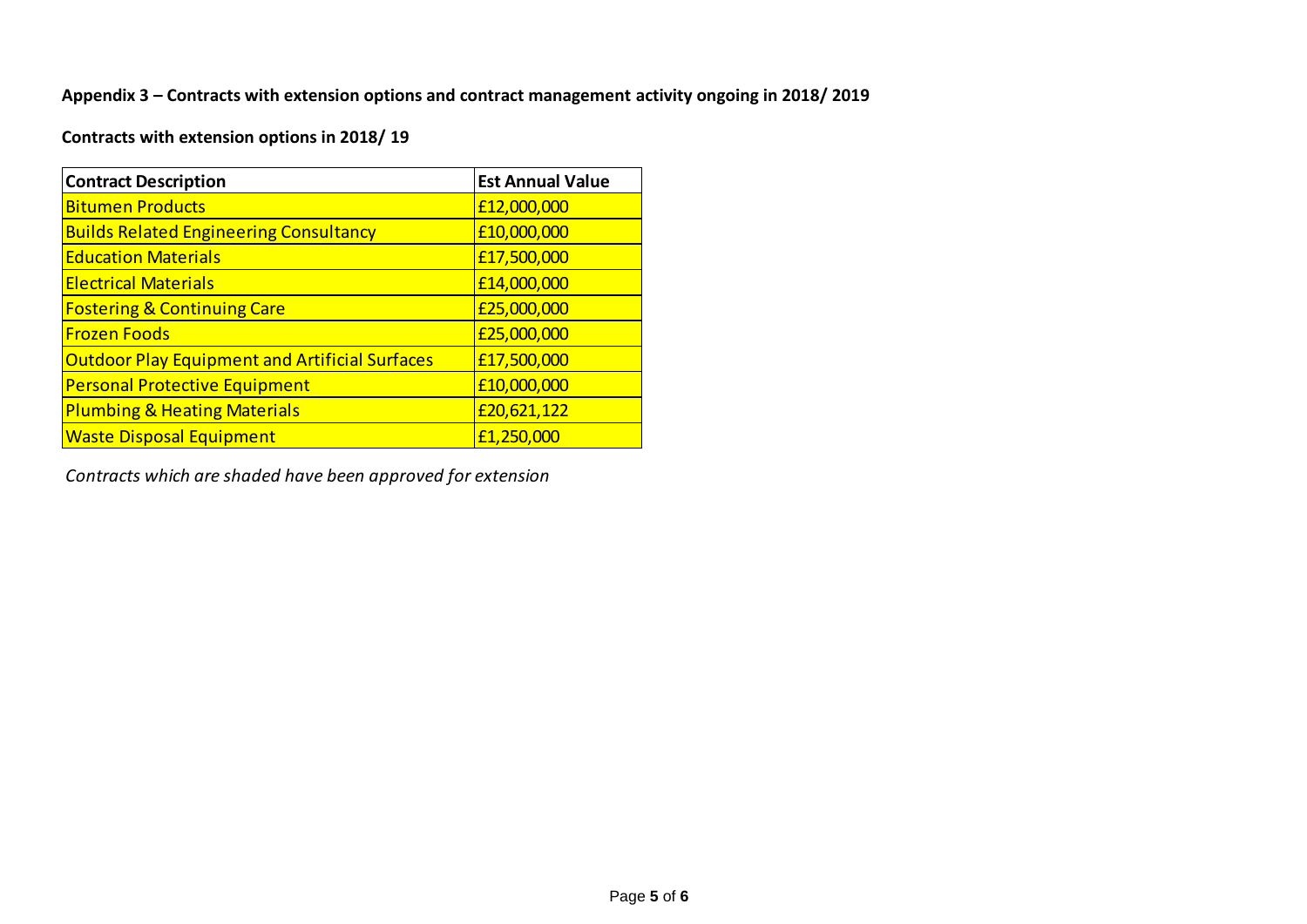**Appendix 3 – Contracts with extension options and contract management activity ongoing in 2018/ 2019**

**Contracts with extension options in 2018/ 19**

| <b>Contract Description</b>                           | <b>Est Annual Value</b> |
|-------------------------------------------------------|-------------------------|
| <b>Bitumen Products</b>                               | £12,000,000             |
| <b>Builds Related Engineering Consultancy</b>         | £10,000,000             |
| <b>Education Materials</b>                            | £17,500,000             |
| <b>Electrical Materials</b>                           | £14,000,000             |
| <b>Fostering &amp; Continuing Care</b>                | £25,000,000             |
| <b>Frozen Foods</b>                                   | £25,000,000             |
| <b>Outdoor Play Equipment and Artificial Surfaces</b> | £17,500,000             |
| <b>Personal Protective Equipment</b>                  | £10,000,000             |
| <b>Plumbing &amp; Heating Materials</b>               | £20,621,122             |
| <b>Waste Disposal Equipment</b>                       | £1,250,000              |

*Contracts which are shaded have been approved for extension*